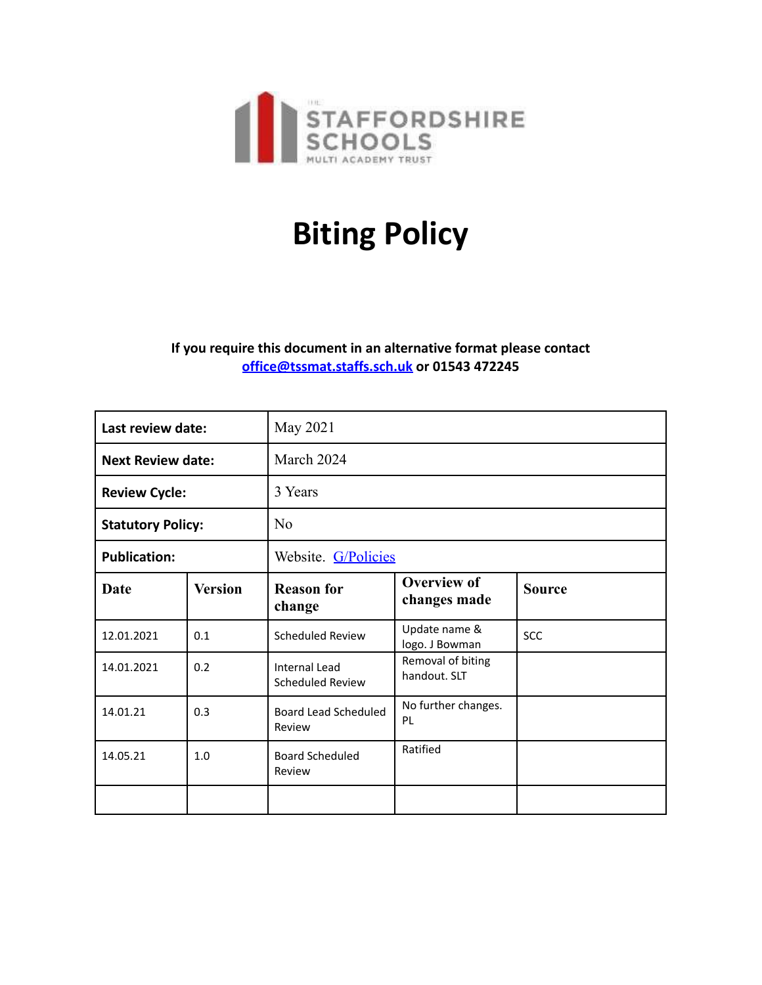

## **Biting Policy**

## **If you require this document in an alternative format please contact [office@tssmat.staffs.sch.uk](mailto:office@tssmat.staffs.sch.uk) or 01543 472245**

| Last review date:        |                | May 2021                                 |                                    |               |
|--------------------------|----------------|------------------------------------------|------------------------------------|---------------|
| <b>Next Review date:</b> |                | March 2024                               |                                    |               |
| <b>Review Cycle:</b>     |                | 3 Years                                  |                                    |               |
| <b>Statutory Policy:</b> |                | N <sub>o</sub>                           |                                    |               |
| <b>Publication:</b>      |                | Website. G/Policies                      |                                    |               |
| <b>Date</b>              | <b>Version</b> | <b>Reason for</b><br>change              | <b>Overview of</b><br>changes made | <b>Source</b> |
| 12.01.2021               | 0.1            | <b>Scheduled Review</b>                  | Update name &<br>logo. J Bowman    | <b>SCC</b>    |
| 14.01.2021               | 0.2            | <b>Internal Lead</b><br>Scheduled Review | Removal of biting<br>handout. SLT  |               |
| 14.01.21                 | 0.3            | Board Lead Scheduled<br>Review           | No further changes.<br>PL          |               |
| 14.05.21                 | 1.0            | <b>Board Scheduled</b><br>Review         | Ratified                           |               |
|                          |                |                                          |                                    |               |